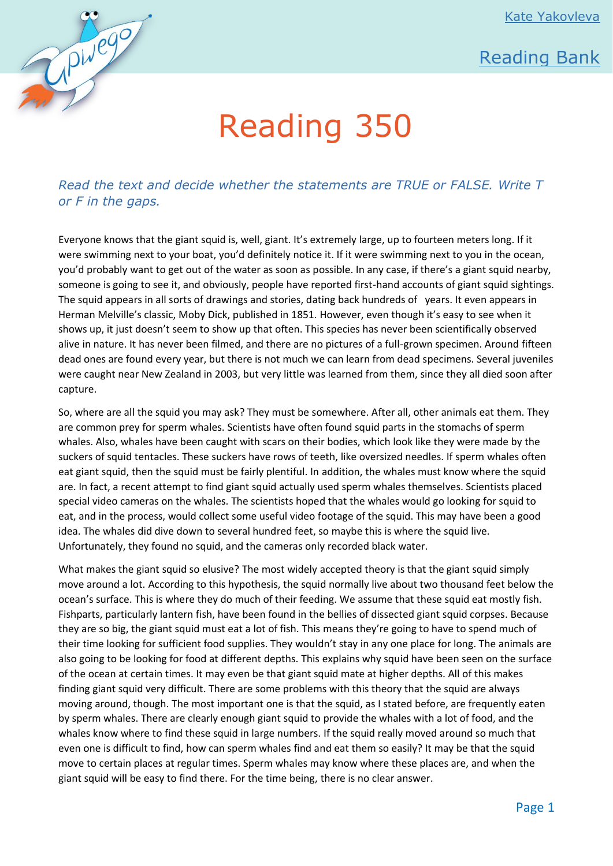## [Reading Bank](http://upwego.ru/index.php/readingbank)



## Reading 350

## *Read the text and decide whether the statements are TRUE or FALSE. Write T or F in the gaps.*

Everyone knows that the giant squid is, well, giant. It's extremely large, up to fourteen meters long. If it were swimming next to your boat, you'd definitely notice it. If it were swimming next to you in the ocean, you'd probably want to get out of the water as soon as possible. In any case, if there's a giant squid nearby, someone is going to see it, and obviously, people have reported first-hand accounts of giant squid sightings. The squid appears in all sorts of drawings and stories, dating back hundreds of years. It even appears in Herman Melville's classic, Moby Dick, published in 1851. However, even though it's easy to see when it shows up, it just doesn't seem to show up that often. This species has never been scientifically observed alive in nature. It has never been filmed, and there are no pictures of a full-grown specimen. Around fifteen dead ones are found every year, but there is not much we can learn from dead specimens. Several juveniles were caught near New Zealand in 2003, but very little was learned from them, since they all died soon after capture.

So, where are all the squid you may ask? They must be somewhere. After all, other animals eat them. They are common prey for sperm whales. Scientists have often found squid parts in the stomachs of sperm whales. Also, whales have been caught with scars on their bodies, which look like they were made by the suckers of squid tentacles. These suckers have rows of teeth, like oversized needles. If sperm whales often eat giant squid, then the squid must be fairly plentiful. In addition, the whales must know where the squid are. In fact, a recent attempt to find giant squid actually used sperm whales themselves. Scientists placed special video cameras on the whales. The scientists hoped that the whales would go looking for squid to eat, and in the process, would collect some useful video footage of the squid. This may have been a good idea. The whales did dive down to several hundred feet, so maybe this is where the squid live. Unfortunately, they found no squid, and the cameras only recorded black water.

What makes the giant squid so elusive? The most widely accepted theory is that the giant squid simply move around a lot. According to this hypothesis, the squid normally live about two thousand feet below the ocean's surface. This is where they do much of their feeding. We assume that these squid eat mostly fish. Fishparts, particularly lantern fish, have been found in the bellies of dissected giant squid corpses. Because they are so big, the giant squid must eat a lot of fish. This means they're going to have to spend much of their time looking for sufficient food supplies. They wouldn't stay in any one place for long. The animals are also going to be looking for food at different depths. This explains why squid have been seen on the surface of the ocean at certain times. It may even be that giant squid mate at higher depths. All of this makes finding giant squid very difficult. There are some problems with this theory that the squid are always moving around, though. The most important one is that the squid, as I stated before, are frequently eaten by sperm whales. There are clearly enough giant squid to provide the whales with a lot of food, and the whales know where to find these squid in large numbers. If the squid really moved around so much that even one is difficult to find, how can sperm whales find and eat them so easily? It may be that the squid move to certain places at regular times. Sperm whales may know where these places are, and when the giant squid will be easy to find there. For the time being, there is no clear answer.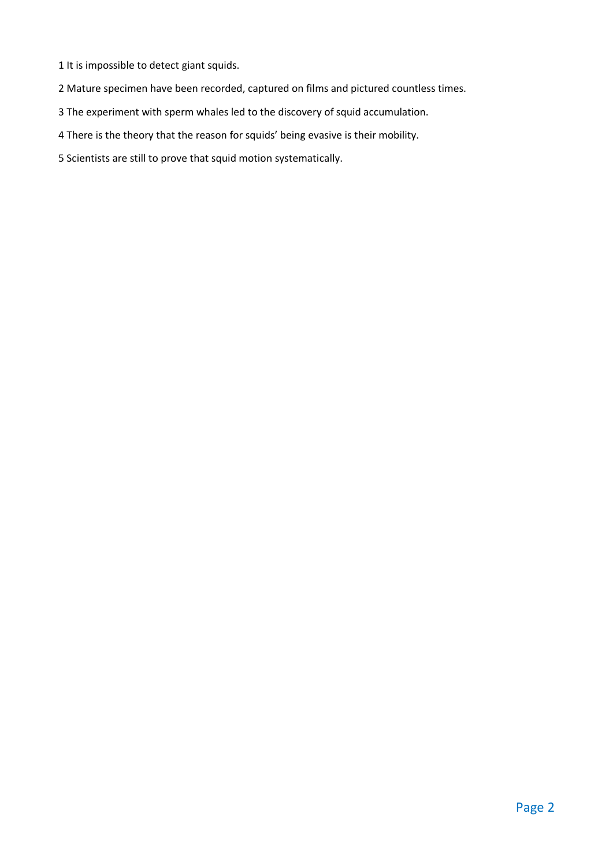- 1 It is impossible to detect giant squids.
- 2 Mature specimen have been recorded, captured on films and pictured countless times.
- 3 The experiment with sperm whales led to the discovery of squid accumulation.
- 4 There is the theory that the reason for squids' being evasive is their mobility.
- 5 Scientists are still to prove that squid motion systematically.